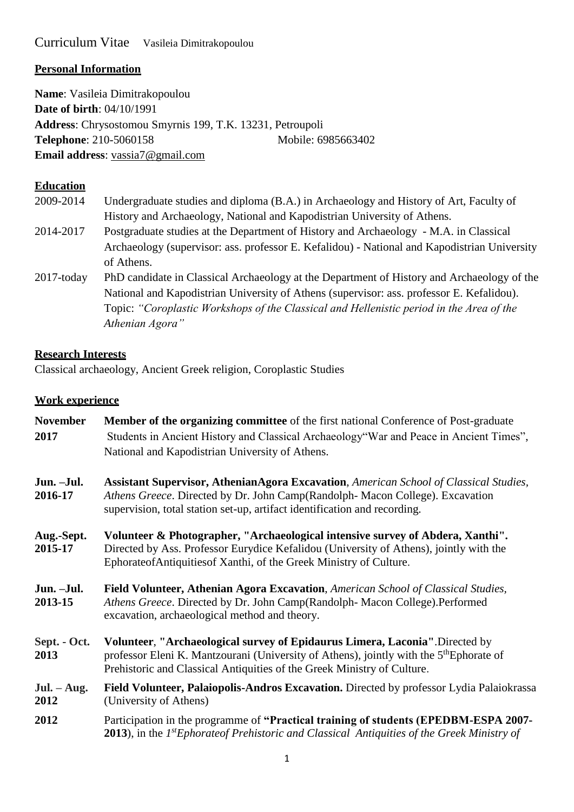# Curriculum Vitae Vasileia Dimitrakopoulou

### **Personal Information**

**Name**: Vasileia Dimitrakopoulou **Date of birth**: 04/10/1991 **Address**: Chrysostomou Smyrnis 199, T.K. 13231, Petroupoli **Telephone**: 210-5060158 Mobile: 6985663402 **Email address**: [vassia7@gmail.com](mailto:vassia7@gmail.com)

## **Education**

| 2009-2014     | Undergraduate studies and diploma (B.A.) in Archaeology and History of Art, Faculty of       |
|---------------|----------------------------------------------------------------------------------------------|
|               | History and Archaeology, National and Kapodistrian University of Athens.                     |
| 2014-2017     | Postgraduate studies at the Department of History and Archaeology - M.A. in Classical        |
|               | Archaeology (supervisor: ass. professor E. Kefalidou) - National and Kapodistrian University |
|               | of Athens.                                                                                   |
| $2017$ -today | PhD candidate in Classical Archaeology at the Department of History and Archaeology of the   |
|               | National and Kapodistrian University of Athens (supervisor: ass. professor E. Kefalidou).    |
|               | Topic: "Coroplastic Workshops of the Classical and Hellenistic period in the Area of the     |
|               | Athenian Agora"                                                                              |

### **Research Interests**

Classical archaeology, Ancient Greek religion, Coroplastic Studies

# **Work experience**

| <b>November</b><br>2017 | <b>Member of the organizing committee</b> of the first national Conference of Post-graduate<br>Students in Ancient History and Classical Archaeology "War and Peace in Ancient Times",<br>National and Kapodistrian University of Athens.                     |  |
|-------------------------|---------------------------------------------------------------------------------------------------------------------------------------------------------------------------------------------------------------------------------------------------------------|--|
| Jun. - Jul.<br>2016-17  | <b>Assistant Supervisor, Athenian Agora Excavation, American School of Classical Studies,</b><br>Athens Greece. Directed by Dr. John Camp(Randolph-Macon College). Excavation<br>supervision, total station set-up, artifact identification and recording.    |  |
| Aug.-Sept.<br>2015-17   | Volunteer & Photographer, "Archaeological intensive survey of Abdera, Xanthi".<br>Directed by Ass. Professor Eurydice Kefalidou (University of Athens), jointly with the<br>EphorateofAntiquitiesof Xanthi, of the Greek Ministry of Culture.                 |  |
| Jun. - Jul.<br>2013-15  | Field Volunteer, Athenian Agora Excavation, American School of Classical Studies,<br>Athens Greece. Directed by Dr. John Camp(Randolph-Macon College).Performed<br>excavation, archaeological method and theory.                                              |  |
| Sept. - Oct.<br>2013    | Volunteer, "Archaeological survey of Epidaurus Limera, Laconia".Directed by<br>professor Eleni K. Mantzourani (University of Athens), jointly with the 5 <sup>th</sup> Ephorate of<br>Prehistoric and Classical Antiquities of the Greek Ministry of Culture. |  |
| $Jul. - Aug.$<br>2012   | Field Volunteer, Palaiopolis-Andros Excavation. Directed by professor Lydia Palaiokrassa<br>(University of Athens)                                                                                                                                            |  |
| 2012                    | Participation in the programme of "Practical training of students (EPEDBM-ESPA 2007-<br>2013), in the 1st Ephorate of Prehistoric and Classical Antiquities of the Greek Ministry of                                                                          |  |